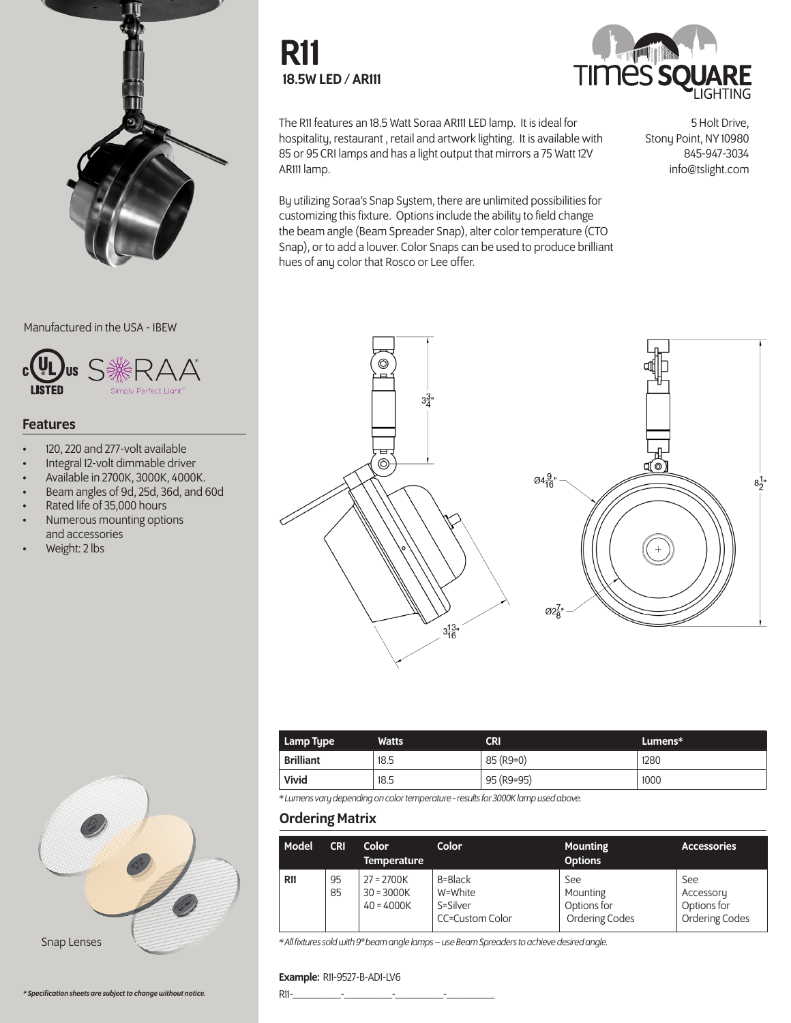

Manufactured in the USA - IBEW



#### Features

- 120, 220 and 277-volt available
- Integral 12-volt dimmable driver
- Available in 2700K, 3000K, 4000K.
- Beam angles of 9d, 25d, 36d, and 60d
- Rated life of 35,000 hours
- Numerous mounting options and accessories
- Weight: 2 lbs





The R11 features an 18.5 Watt Soraa AR111 LED lamp. It is ideal for hospitality, restaurant , retail and artwork lighting. It is available with 85 or 95 CRI lamps and has a light output that mirrors a 75 Watt 12V AR111 lamp.

By utilizing Soraa's Snap System, there are unlimited possibilities for customizing this fixture. Options include the ability to field change the beam angle (Beam Spreader Snap), alter color temperature (CTO Snap), or to add a louver. Color Snaps can be used to produce brilliant hues of any color that Rosco or Lee offer.

5 Holt Drive, Stony Point, NY 10980 845-947-3034 info@tslight.com



| Lamp Type        | <b>Watts</b> | CRI        | Lumens* |
|------------------|--------------|------------|---------|
| <b>Brilliant</b> | 18.5         | 85 (R9=0)  | 1280    |
| Vivid            | 18.5         | 95 (R9=95) | 1000    |

*\* Lumens vary depending on color temperature - results for 3000K lamp used above.*

### Ordering Matrix

| Model      | <b>CRI</b> | Color<br><b>Temperature</b>                  | Color                                             | <b>Mounting</b><br><b>Options</b>                | <b>Accessories</b>                                |
|------------|------------|----------------------------------------------|---------------------------------------------------|--------------------------------------------------|---------------------------------------------------|
| <b>R11</b> | 95<br>85   | $27 = 2700K$<br>$30 = 3000K$<br>$40 = 4000K$ | B=Black<br>W=White<br>S=Silver<br>CC=Custom Color | See<br>Mounting<br>Options for<br>Ordering Codes | See<br>Accessory<br>Options for<br>Ordering Codes |

*\* All fixtures sold with 9° beam angle lamps – use Beam Spreaders to achieve desired angle.*

#### Example: R11-9527-B-AD1-LV6

*\* Specification sheets are subject to change without notice.*

Snap Lenses

R11-\_\_\_\_\_\_\_\_\_-\_\_\_\_\_\_\_\_\_-\_\_\_\_\_\_\_\_\_-\_\_\_\_\_\_\_\_\_